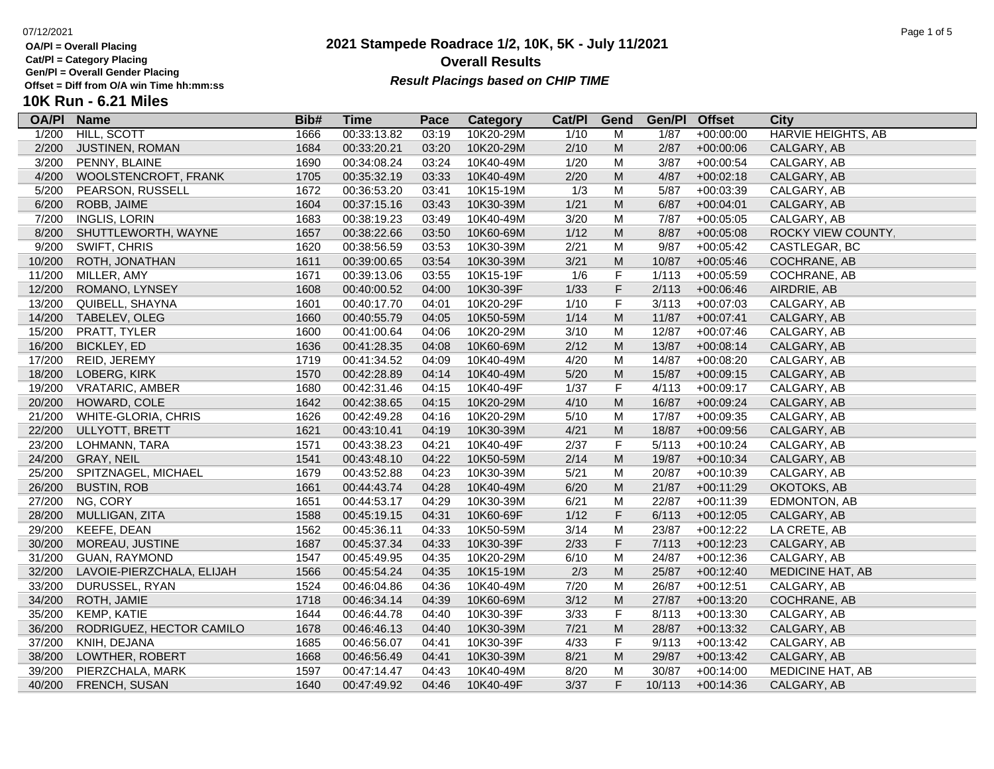**OA/Pl = Overall Placing**

**Cat/Pl = Category Placing**

**Gen/Pl = Overall Gender Placing**

**10K Run - 6.21 Miles**

### **2021 Stampede Roadrace 1/2, 10K, 5K - July 11/2021** 07/12/2021 Page 1 of 5 **Overall Results Result Placings based on CHIP TIME**

| --- - -------     |  |
|-------------------|--|
| win Time hh:mm:ss |  |

|  |  | Diff from O/A win Time hh:mm:ss |  |
|--|--|---------------------------------|--|
|  |  |                                 |  |

| <b>OA/PI</b> | <b>Name</b>               | Bib# | Time        | Pace  | <b>Category</b> | Cat/PI | Gend                                                                                                       | Gen/Pl | <b>Offset</b> | City                      |
|--------------|---------------------------|------|-------------|-------|-----------------|--------|------------------------------------------------------------------------------------------------------------|--------|---------------|---------------------------|
| 1/200        | <b>HILL, SCOTT</b>        | 1666 | 00:33:13.82 | 03:19 | 10K20-29M       | 1/10   | м                                                                                                          | 1/87   | $+00:00:00$   | <b>HARVIE HEIGHTS, AB</b> |
| 2/200        | <b>JUSTINEN, ROMAN</b>    | 1684 | 00:33:20.21 | 03:20 | 10K20-29M       | 2/10   | M                                                                                                          | 2/87   | $+00:00:06$   | CALGARY, AB               |
| 3/200        | PENNY, BLAINE             | 1690 | 00:34:08.24 | 03:24 | 10K40-49M       | 1/20   | M                                                                                                          | 3/87   | $+00:00:54$   | CALGARY, AB               |
| 4/200        | WOOLSTENCROFT, FRANK      | 1705 | 00:35:32.19 | 03:33 | 10K40-49M       | 2/20   | $\mathsf{M}% _{T}=\mathsf{M}_{T}\!\left( a,b\right) ,\ \mathsf{M}_{T}=\mathsf{M}_{T}\!\left( a,b\right) ,$ | 4/87   | $+00:02:18$   | CALGARY, AB               |
| 5/200        | PEARSON, RUSSELL          | 1672 | 00:36:53.20 | 03:41 | 10K15-19M       | 1/3    | M                                                                                                          | 5/87   | $+00:03:39$   | CALGARY, AB               |
| 6/200        | ROBB, JAIME               | 1604 | 00:37:15.16 | 03:43 | 10K30-39M       | 1/21   | $\mathsf{M}% _{T}=\mathsf{M}_{T}\!\left( a,b\right) ,\ \mathsf{M}_{T}=\mathsf{M}_{T}\!\left( a,b\right) ,$ | 6/87   | $+00:04:01$   | CALGARY, AB               |
| 7/200        | <b>INGLIS, LORIN</b>      | 1683 | 00:38:19.23 | 03:49 | 10K40-49M       | 3/20   | M                                                                                                          | 7/87   | $+00:05:05$   | CALGARY, AB               |
| 8/200        | SHUTTLEWORTH, WAYNE       | 1657 | 00:38:22.66 | 03:50 | 10K60-69M       | 1/12   | $\mathsf{M}% _{T}=\mathsf{M}_{T}\!\left( a,b\right) ,\ \mathsf{M}_{T}=\mathsf{M}_{T}\!\left( a,b\right) ,$ | 8/87   | $+00:05:08$   | ROCKY VIEW COUNTY,        |
| 9/200        | SWIFT, CHRIS              | 1620 | 00:38:56.59 | 03:53 | 10K30-39M       | 2/21   | M                                                                                                          | 9/87   | $+00:05:42$   | CASTLEGAR, BC             |
| 10/200       | ROTH, JONATHAN            | 1611 | 00:39:00.65 | 03:54 | 10K30-39M       | 3/21   | $\mathsf{M}% _{T}=\mathsf{M}_{T}\!\left( a,b\right) ,\ \mathsf{M}_{T}=\mathsf{M}_{T}\!\left( a,b\right) ,$ | 10/87  | $+00:05:46$   | COCHRANE, AB              |
| 11/200       | MILLER, AMY               | 1671 | 00:39:13.06 | 03:55 | 10K15-19F       | 1/6    | F                                                                                                          | 1/113  | $+00:05:59$   | COCHRANE, AB              |
| 12/200       | ROMANO, LYNSEY            | 1608 | 00:40:00.52 | 04:00 | 10K30-39F       | 1/33   | F                                                                                                          | 2/113  | $+00:06:46$   | AIRDRIE, AB               |
| 13/200       | QUIBELL, SHAYNA           | 1601 | 00:40:17.70 | 04:01 | 10K20-29F       | 1/10   | F                                                                                                          | 3/113  | $+00:07:03$   | CALGARY, AB               |
| 14/200       | TABELEV, OLEG             | 1660 | 00:40:55.79 | 04:05 | 10K50-59M       | 1/14   | $\mathsf{M}% _{T}=\mathsf{M}_{T}\!\left( a,b\right) ,\ \mathsf{M}_{T}=\mathsf{M}_{T}\!\left( a,b\right) ,$ | 11/87  | $+00:07:41$   | CALGARY, AB               |
| 15/200       | PRATT, TYLER              | 1600 | 00:41:00.64 | 04:06 | 10K20-29M       | 3/10   | M                                                                                                          | 12/87  | $+00:07:46$   | CALGARY, AB               |
| 16/200       | <b>BICKLEY, ED</b>        | 1636 | 00:41:28.35 | 04:08 | 10K60-69M       | 2/12   | $\mathsf{M}% _{T}=\mathsf{M}_{T}\!\left( a,b\right) ,\ \mathsf{M}_{T}=\mathsf{M}_{T}\!\left( a,b\right) ,$ | 13/87  | $+00:08:14$   | CALGARY, AB               |
| 17/200       | REID, JEREMY              | 1719 | 00:41:34.52 | 04:09 | 10K40-49M       | 4/20   | м                                                                                                          | 14/87  | $+00:08:20$   | CALGARY, AB               |
| 18/200       | LOBERG, KIRK              | 1570 | 00:42:28.89 | 04:14 | 10K40-49M       | 5/20   | M                                                                                                          | 15/87  | $+00:09:15$   | CALGARY, AB               |
| 19/200       | <b>VRATARIC, AMBER</b>    | 1680 | 00:42:31.46 | 04:15 | 10K40-49F       | 1/37   | F                                                                                                          | 4/113  | $+00:09:17$   | CALGARY, AB               |
| 20/200       | HOWARD, COLE              | 1642 | 00:42:38.65 | 04:15 | 10K20-29M       | 4/10   | $\mathsf{M}% _{T}=\mathsf{M}_{T}\!\left( a,b\right) ,\ \mathsf{M}_{T}=\mathsf{M}_{T}\!\left( a,b\right) ,$ | 16/87  | $+00:09:24$   | CALGARY, AB               |
| 21/200       | WHITE-GLORIA, CHRIS       | 1626 | 00:42:49.28 | 04:16 | 10K20-29M       | 5/10   | M                                                                                                          | 17/87  | $+00:09:35$   | CALGARY, AB               |
| 22/200       | ULLYOTT, BRETT            | 1621 | 00:43:10.41 | 04:19 | 10K30-39M       | 4/21   | $\mathsf{M}% _{T}=\mathsf{M}_{T}\!\left( a,b\right) ,\ \mathsf{M}_{T}=\mathsf{M}_{T}\!\left( a,b\right) ,$ | 18/87  | $+00:09:56$   | CALGARY, AB               |
| 23/200       | LOHMANN, TARA             | 1571 | 00:43:38.23 | 04:21 | 10K40-49F       | 2/37   | F                                                                                                          | 5/113  | $+00:10:24$   | CALGARY, AB               |
| 24/200       | GRAY, NEIL                | 1541 | 00:43:48.10 | 04:22 | 10K50-59M       | 2/14   | $\mathsf{M}% _{T}=\mathsf{M}_{T}\!\left( a,b\right) ,\ \mathsf{M}_{T}=\mathsf{M}_{T}\!\left( a,b\right) ,$ | 19/87  | $+00:10:34$   | CALGARY, AB               |
| 25/200       | SPITZNAGEL, MICHAEL       | 1679 | 00:43:52.88 | 04:23 | 10K30-39M       | 5/21   | M                                                                                                          | 20/87  | $+00:10:39$   | CALGARY, AB               |
| 26/200       | <b>BUSTIN, ROB</b>        | 1661 | 00:44:43.74 | 04:28 | 10K40-49M       | 6/20   | $\mathsf{M}% _{T}=\mathsf{M}_{T}\!\left( a,b\right) ,\ \mathsf{M}_{T}=\mathsf{M}_{T}\!\left( a,b\right) ,$ | 21/87  | $+00:11:29$   | OKOTOKS, AB               |
| 27/200       | NG, CORY                  | 1651 | 00:44:53.17 | 04:29 | 10K30-39M       | 6/21   | M                                                                                                          | 22/87  | $+00:11:39$   | EDMONTON, AB              |
| 28/200       | MULLIGAN, ZITA            | 1588 | 00:45:19.15 | 04:31 | 10K60-69F       | 1/12   | F                                                                                                          | 6/113  | $+00:12:05$   | CALGARY, AB               |
| 29/200       | KEEFE, DEAN               | 1562 | 00:45:36.11 | 04:33 | 10K50-59M       | 3/14   | M                                                                                                          | 23/87  | $+00:12:22$   | LA CRETE, AB              |
| 30/200       | MOREAU, JUSTINE           | 1687 | 00:45:37.34 | 04:33 | 10K30-39F       | 2/33   | F                                                                                                          | 7/113  | $+00:12:23$   | CALGARY, AB               |
| 31/200       | <b>GUAN, RAYMOND</b>      | 1547 | 00:45:49.95 | 04:35 | 10K20-29M       | 6/10   | M                                                                                                          | 24/87  | $+00:12:36$   | CALGARY, AB               |
| 32/200       | LAVOIE-PIERZCHALA, ELIJAH | 1566 | 00:45:54.24 | 04:35 | 10K15-19M       | 2/3    | ${\sf M}$                                                                                                  | 25/87  | $+00:12:40$   | <b>MEDICINE HAT, AB</b>   |
| 33/200       | DURUSSEL, RYAN            | 1524 | 00:46:04.86 | 04:36 | 10K40-49M       | 7/20   | M                                                                                                          | 26/87  | $+00:12:51$   | CALGARY, AB               |
| 34/200       | ROTH, JAMIE               | 1718 | 00:46:34.14 | 04:39 | 10K60-69M       | 3/12   | M                                                                                                          | 27/87  | $+00:13:20$   | COCHRANE, AB              |
| 35/200       | KEMP, KATIE               | 1644 | 00:46:44.78 | 04:40 | 10K30-39F       | 3/33   | F                                                                                                          | 8/113  | $+00:13:30$   | CALGARY, AB               |
| 36/200       | RODRIGUEZ, HECTOR CAMILO  | 1678 | 00:46:46.13 | 04:40 | 10K30-39M       | 7/21   | M                                                                                                          | 28/87  | $+00:13:32$   | CALGARY, AB               |
| 37/200       | KNIH, DEJANA              | 1685 | 00:46:56.07 | 04:41 | 10K30-39F       | 4/33   | F                                                                                                          | 9/113  | $+00:13:42$   | CALGARY, AB               |
| 38/200       | LOWTHER, ROBERT           | 1668 | 00:46:56.49 | 04:41 | 10K30-39M       | 8/21   | ${\sf M}$                                                                                                  | 29/87  | $+00:13:42$   | CALGARY, AB               |
| 39/200       | PIERZCHALA, MARK          | 1597 | 00:47:14.47 | 04:43 | 10K40-49M       | 8/20   | M                                                                                                          | 30/87  | $+00:14:00$   | <b>MEDICINE HAT, AB</b>   |
| 40/200       | FRENCH, SUSAN             | 1640 | 00:47:49.92 | 04:46 | 10K40-49F       | 3/37   | F                                                                                                          | 10/113 | $+00:14:36$   | CALGARY, AB               |
|              |                           |      |             |       |                 |        |                                                                                                            |        |               |                           |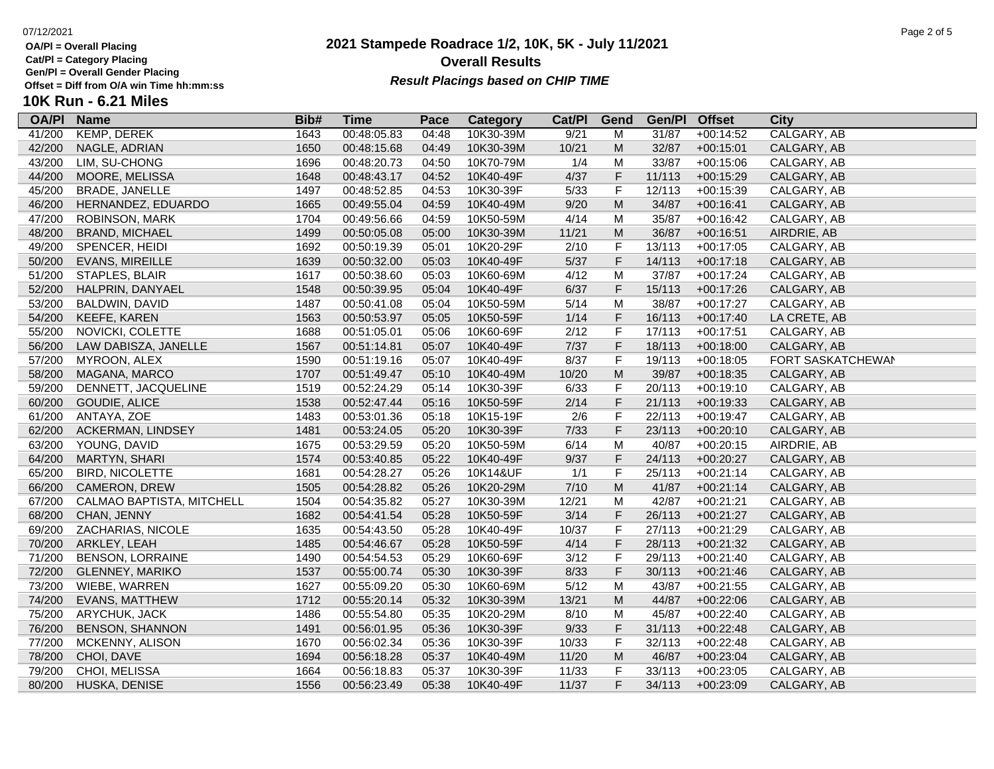**Cat/Pl = Category Placing**

**Gen/Pl = Overall Gender Placing**

## **2021 Stampede Roadrace 1/2, 10K, 5K - July 11/2021** 07/12/2021 Page 2 of 5 **Overall Results** Gen/PI = Overall Gender Placing<br>Offset = Diff from O/A win Time hh:mm:ss *Result Placings based on CHIP TIME*

# **10K Run - 6.21 Miles**

| <b>OA/PI</b> | <b>Name</b>               | Bib# | Time        | Pace  | Category  | Cat/PI | Gend                                                                                                       | Gen/Pl | <b>Offset</b> | City                     |
|--------------|---------------------------|------|-------------|-------|-----------|--------|------------------------------------------------------------------------------------------------------------|--------|---------------|--------------------------|
| 41/200       | <b>KEMP, DEREK</b>        | 1643 | 00:48:05.83 | 04:48 | 10K30-39M | 9/21   | M                                                                                                          | 31/87  | $+00:14:52$   | <b>CALGARY, AB</b>       |
| 42/200       | NAGLE, ADRIAN             | 1650 | 00:48:15.68 | 04:49 | 10K30-39M | 10/21  | M                                                                                                          | 32/87  | $+00:15:01$   | CALGARY, AB              |
| 43/200       | LIM, SU-CHONG             | 1696 | 00:48:20.73 | 04:50 | 10K70-79M | 1/4    | M                                                                                                          | 33/87  | $+00:15:06$   | CALGARY, AB              |
| 44/200       | <b>MOORE, MELISSA</b>     | 1648 | 00:48:43.17 | 04:52 | 10K40-49F | 4/37   | F                                                                                                          | 11/113 | $+00:15:29$   | CALGARY, AB              |
| 45/200       | <b>BRADE, JANELLE</b>     | 1497 | 00:48:52.85 | 04:53 | 10K30-39F | 5/33   | F                                                                                                          | 12/113 | $+00:15:39$   | CALGARY, AB              |
| 46/200       | HERNANDEZ, EDUARDO        | 1665 | 00:49:55.04 | 04:59 | 10K40-49M | 9/20   | $\mathsf{M}% _{T}=\mathsf{M}_{T}\!\left( a,b\right) ,\ \mathsf{M}_{T}=\mathsf{M}_{T}\!\left( a,b\right) ,$ | 34/87  | $+00:16:41$   | CALGARY, AB              |
| 47/200       | ROBINSON, MARK            | 1704 | 00:49:56.66 | 04:59 | 10K50-59M | 4/14   | M                                                                                                          | 35/87  | $+00:16:42$   | CALGARY, AB              |
| 48/200       | <b>BRAND, MICHAEL</b>     | 1499 | 00:50:05.08 | 05:00 | 10K30-39M | 11/21  | $\mathsf{M}% _{T}=\mathsf{M}_{T}\!\left( a,b\right) ,\ \mathsf{M}_{T}=\mathsf{M}_{T}\!\left( a,b\right) ,$ | 36/87  | $+00:16:51$   | AIRDRIE, AB              |
| 49/200       | SPENCER, HEIDI            | 1692 | 00:50:19.39 | 05:01 | 10K20-29F | 2/10   | F                                                                                                          | 13/113 | $+00:17:05$   | CALGARY, AB              |
| 50/200       | <b>EVANS, MIREILLE</b>    | 1639 | 00:50:32.00 | 05:03 | 10K40-49F | $5/37$ | $\mathsf F$                                                                                                | 14/113 | $+00:17:18$   | CALGARY, AB              |
| 51/200       | STAPLES, BLAIR            | 1617 | 00:50:38.60 | 05:03 | 10K60-69M | 4/12   | M                                                                                                          | 37/87  | $+00:17:24$   | CALGARY, AB              |
| 52/200       | HALPRIN, DANYAEL          | 1548 | 00:50:39.95 | 05:04 | 10K40-49F | 6/37   | F                                                                                                          | 15/113 | $+00:17:26$   | CALGARY, AB              |
| 53/200       | BALDWIN, DAVID            | 1487 | 00:50:41.08 | 05:04 | 10K50-59M | 5/14   | M                                                                                                          | 38/87  | $+00:17:27$   | CALGARY, AB              |
| 54/200       | KEEFE, KAREN              | 1563 | 00:50:53.97 | 05:05 | 10K50-59F | 1/14   | F                                                                                                          | 16/113 | $+00:17:40$   | LA CRETE, AB             |
| 55/200       | NOVICKI, COLETTE          | 1688 | 00:51:05.01 | 05:06 | 10K60-69F | 2/12   | F                                                                                                          | 17/113 | $+00:17:51$   | CALGARY, AB              |
| 56/200       | LAW DABISZA, JANELLE      | 1567 | 00:51:14.81 | 05:07 | 10K40-49F | 7/37   | F                                                                                                          | 18/113 | $+00:18:00$   | CALGARY, AB              |
| 57/200       | MYROON, ALEX              | 1590 | 00:51:19.16 | 05:07 | 10K40-49F | 8/37   | F                                                                                                          | 19/113 | $+00:18:05$   | <b>FORT SASKATCHEWAN</b> |
| 58/200       | MAGANA, MARCO             | 1707 | 00:51:49.47 | 05:10 | 10K40-49M | 10/20  | $\mathsf{M}% _{T}=\mathsf{M}_{T}\!\left( a,b\right) ,\ \mathsf{M}_{T}=\mathsf{M}_{T}\!\left( a,b\right) ,$ | 39/87  | $+00:18:35$   | CALGARY, AB              |
| 59/200       | DENNETT, JACQUELINE       | 1519 | 00:52:24.29 | 05:14 | 10K30-39F | 6/33   | $\mathsf F$                                                                                                | 20/113 | $+00:19:10$   | CALGARY, AB              |
| 60/200       | GOUDIE, ALICE             | 1538 | 00:52:47.44 | 05:16 | 10K50-59F | 2/14   | F                                                                                                          | 21/113 | $+00:19:33$   | CALGARY, AB              |
| 61/200       | ANTAYA, ZOE               | 1483 | 00:53:01.36 | 05:18 | 10K15-19F | 2/6    | F                                                                                                          | 22/113 | $+00:19:47$   | CALGARY, AB              |
| 62/200       | ACKERMAN, LINDSEY         | 1481 | 00:53:24.05 | 05:20 | 10K30-39F | $7/33$ | F                                                                                                          | 23/113 | $+00:20:10$   | CALGARY, AB              |
| 63/200       | YOUNG, DAVID              | 1675 | 00:53:29.59 | 05:20 | 10K50-59M | 6/14   | M                                                                                                          | 40/87  | $+00:20:15$   | AIRDRIE, AB              |
| 64/200       | MARTYN, SHARI             | 1574 | 00:53:40.85 | 05:22 | 10K40-49F | 9/37   | F                                                                                                          | 24/113 | $+00:20:27$   | CALGARY, AB              |
| 65/200       | <b>BIRD, NICOLETTE</b>    | 1681 | 00:54:28.27 | 05:26 | 10K14&UF  | 1/1    | F                                                                                                          | 25/113 | $+00:21:14$   | CALGARY, AB              |
| 66/200       | CAMERON, DREW             | 1505 | 00:54:28.82 | 05:26 | 10K20-29M | 7/10   | $\mathsf{M}% _{T}=\mathsf{M}_{T}\!\left( a,b\right) ,\ \mathsf{M}_{T}=\mathsf{M}_{T}\!\left( a,b\right) ,$ | 41/87  | $+00:21:14$   | CALGARY, AB              |
| 67/200       | CALMAO BAPTISTA, MITCHELL | 1504 | 00:54:35.82 | 05:27 | 10K30-39M | 12/21  | M                                                                                                          | 42/87  | $+00:21:21$   | CALGARY, AB              |
| 68/200       | CHAN, JENNY               | 1682 | 00:54:41.54 | 05:28 | 10K50-59F | 3/14   | F                                                                                                          | 26/113 | $+00:21:27$   | CALGARY, AB              |
| 69/200       | ZACHARIAS, NICOLE         | 1635 | 00:54:43.50 | 05:28 | 10K40-49F | 10/37  | F                                                                                                          | 27/113 | $+00:21:29$   | CALGARY, AB              |
| 70/200       | ARKLEY, LEAH              | 1485 | 00:54:46.67 | 05:28 | 10K50-59F | 4/14   | F                                                                                                          | 28/113 | $+00:21:32$   | CALGARY, AB              |
| 71/200       | <b>BENSON, LORRAINE</b>   | 1490 | 00:54:54.53 | 05:29 | 10K60-69F | 3/12   | F                                                                                                          | 29/113 | $+00:21:40$   | CALGARY, AB              |
| 72/200       | <b>GLENNEY, MARIKO</b>    | 1537 | 00:55:00.74 | 05:30 | 10K30-39F | 8/33   | F                                                                                                          | 30/113 | $+00:21:46$   | CALGARY, AB              |
| 73/200       | WIEBE, WARREN             | 1627 | 00:55:09.20 | 05:30 | 10K60-69M | 5/12   | M                                                                                                          | 43/87  | $+00:21:55$   | CALGARY, AB              |
| 74/200       | <b>EVANS, MATTHEW</b>     | 1712 | 00:55:20.14 | 05:32 | 10K30-39M | 13/21  | M                                                                                                          | 44/87  | $+00:22:06$   | CALGARY, AB              |
| 75/200       | ARYCHUK, JACK             | 1486 | 00:55:54.80 | 05:35 | 10K20-29M | 8/10   | M                                                                                                          | 45/87  | $+00:22:40$   | CALGARY, AB              |
| 76/200       | <b>BENSON, SHANNON</b>    | 1491 | 00:56:01.95 | 05:36 | 10K30-39F | 9/33   | F                                                                                                          | 31/113 | $+00:22:48$   | CALGARY, AB              |
| 77/200       | MCKENNY, ALISON           | 1670 | 00:56:02.34 | 05:36 | 10K30-39F | 10/33  | F                                                                                                          | 32/113 | $+00:22:48$   | CALGARY, AB              |
| 78/200       | CHOI, DAVE                | 1694 | 00:56:18.28 | 05:37 | 10K40-49M | 11/20  | ${\sf M}$                                                                                                  | 46/87  | $+00:23:04$   | CALGARY, AB              |
| 79/200       | CHOI, MELISSA             | 1664 | 00:56:18.83 | 05:37 | 10K30-39F | 11/33  | F                                                                                                          | 33/113 | $+00:23:05$   | CALGARY, AB              |
| 80/200       | HUSKA, DENISE             | 1556 | 00:56:23.49 | 05:38 | 10K40-49F | 11/37  | F                                                                                                          | 34/113 | $+00:23:09$   | CALGARY, AB              |
|              |                           |      |             |       |           |        |                                                                                                            |        |               |                          |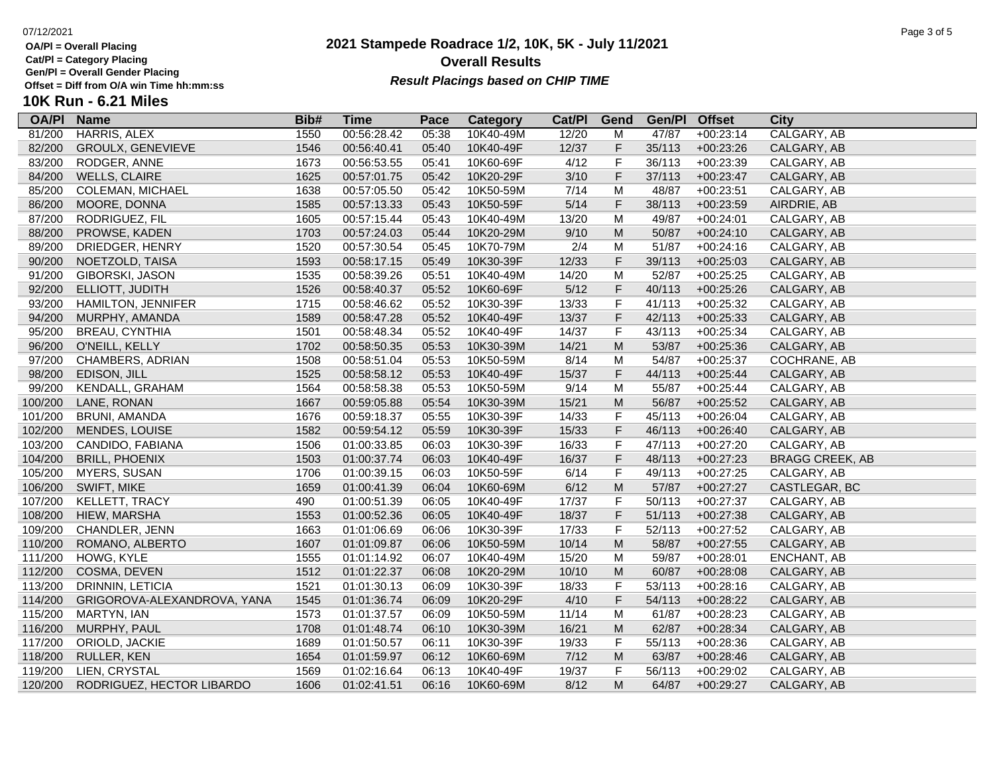**Cat/Pl = Category Placing**

**Gen/Pl = Overall Gender Placing**

**10** 

### **2021 Stampede Roadrace 1/2, 10K, 5K - July 11/2021** 07/12/2021 Page 3 of 5 **Overall Results Result Placings based on CHIP TIME**

| 2021 |  |  |  |
|------|--|--|--|
|      |  |  |  |

| K Run - 6.21 Miles |  |  |  |
|--------------------|--|--|--|
|--------------------|--|--|--|

| <b>OA/PI</b> | <b>Name</b>                 | Bib# | <b>Time</b> | Pace  | <b>Category</b> | Cat/PI | Gend                                                                                                       | Gen/Pl Offset |             | <b>City</b>            |
|--------------|-----------------------------|------|-------------|-------|-----------------|--------|------------------------------------------------------------------------------------------------------------|---------------|-------------|------------------------|
| 81/200       | HARRIS, ALEX                | 1550 | 00:56:28.42 | 05:38 | 10K40-49M       | 12/20  | M                                                                                                          | 47/87         | $+00:23:14$ | CALGARY, AB            |
| 82/200       | GROULX, GENEVIEVE           | 1546 | 00:56:40.41 | 05:40 | 10K40-49F       | 12/37  | F                                                                                                          | 35/113        | $+00:23:26$ | CALGARY, AB            |
| 83/200       | RODGER, ANNE                | 1673 | 00:56:53.55 | 05:41 | 10K60-69F       | 4/12   | F                                                                                                          | 36/113        | $+00:23:39$ | CALGARY, AB            |
| 84/200       | <b>WELLS, CLAIRE</b>        | 1625 | 00:57:01.75 | 05:42 | 10K20-29F       | 3/10   | F                                                                                                          | 37/113        | $+00:23:47$ | CALGARY, AB            |
| 85/200       | <b>COLEMAN, MICHAEL</b>     | 1638 | 00:57:05.50 | 05:42 | 10K50-59M       | 7/14   | M                                                                                                          | 48/87         | $+00:23:51$ | CALGARY, AB            |
| 86/200       | MOORE, DONNA                | 1585 | 00:57:13.33 | 05:43 | 10K50-59F       | $5/14$ | $\mathsf F$                                                                                                | 38/113        | $+00:23:59$ | AIRDRIE, AB            |
| 87/200       | RODRIGUEZ, FIL              | 1605 | 00:57:15.44 | 05:43 | 10K40-49M       | 13/20  | M                                                                                                          | 49/87         | $+00:24:01$ | CALGARY, AB            |
| 88/200       | PROWSE, KADEN               | 1703 | 00:57:24.03 | 05:44 | 10K20-29M       | 9/10   | M                                                                                                          | 50/87         | $+00:24:10$ | CALGARY, AB            |
| 89/200       | DRIEDGER, HENRY             | 1520 | 00:57:30.54 | 05:45 | 10K70-79M       | 2/4    | M                                                                                                          | 51/87         | $+00:24:16$ | CALGARY, AB            |
| 90/200       | NOETZOLD, TAISA             | 1593 | 00:58:17.15 | 05:49 | 10K30-39F       | 12/33  | F                                                                                                          | 39/113        | $+00:25:03$ | CALGARY, AB            |
| 91/200       | <b>GIBORSKI, JASON</b>      | 1535 | 00:58:39.26 | 05:51 | 10K40-49M       | 14/20  | M                                                                                                          | 52/87         | $+00:25:25$ | CALGARY, AB            |
| 92/200       | ELLIOTT, JUDITH             | 1526 | 00:58:40.37 | 05:52 | 10K60-69F       | $5/12$ | $\mathsf F$                                                                                                | 40/113        | $+00:25:26$ | CALGARY, AB            |
| 93/200       | <b>HAMILTON, JENNIFER</b>   | 1715 | 00:58:46.62 | 05:52 | 10K30-39F       | 13/33  | F                                                                                                          | 41/113        | $+00:25:32$ | CALGARY, AB            |
| 94/200       | MURPHY, AMANDA              | 1589 | 00:58:47.28 | 05:52 | 10K40-49F       | 13/37  | F                                                                                                          | 42/113        | $+00:25:33$ | CALGARY, AB            |
| 95/200       | <b>BREAU, CYNTHIA</b>       | 1501 | 00:58:48.34 | 05:52 | 10K40-49F       | 14/37  | F                                                                                                          | 43/113        | $+00:25:34$ | CALGARY, AB            |
| 96/200       | O'NEILL, KELLY              | 1702 | 00:58:50.35 | 05:53 | 10K30-39M       | 14/21  | $\mathsf{M}% _{T}=\mathsf{M}_{T}\!\left( a,b\right) ,\ \mathsf{M}_{T}=\mathsf{M}_{T}\!\left( a,b\right) ,$ | 53/87         | $+00:25:36$ | CALGARY, AB            |
| 97/200       | CHAMBERS, ADRIAN            | 1508 | 00:58:51.04 | 05:53 | 10K50-59M       | 8/14   | M                                                                                                          | 54/87         | $+00:25:37$ | COCHRANE, AB           |
| 98/200       | EDISON, JILL                | 1525 | 00:58:58.12 | 05:53 | 10K40-49F       | 15/37  | F                                                                                                          | 44/113        | $+00:25:44$ | CALGARY, AB            |
| 99/200       | KENDALL, GRAHAM             | 1564 | 00:58:58.38 | 05:53 | 10K50-59M       | 9/14   | M                                                                                                          | 55/87         | $+00:25:44$ | CALGARY, AB            |
| 100/200      | LANE, RONAN                 | 1667 | 00:59:05.88 | 05:54 | 10K30-39M       | 15/21  | $\mathsf{M}% _{T}=\mathsf{M}_{T}\!\left( a,b\right) ,\ \mathsf{M}_{T}=\mathsf{M}_{T}\!\left( a,b\right) ,$ | 56/87         | $+00:25:52$ | CALGARY, AB            |
| 101/200      | BRUNI, AMANDA               | 1676 | 00:59:18.37 | 05:55 | 10K30-39F       | 14/33  | F                                                                                                          | 45/113        | $+00:26:04$ | CALGARY, AB            |
| 102/200      | MENDES, LOUISE              | 1582 | 00:59:54.12 | 05:59 | 10K30-39F       | 15/33  | F                                                                                                          | 46/113        | $+00:26:40$ | CALGARY, AB            |
| 103/200      | CANDIDO, FABIANA            | 1506 | 01:00:33.85 | 06:03 | 10K30-39F       | 16/33  | F                                                                                                          | 47/113        | $+00:27:20$ | CALGARY, AB            |
| 104/200      | <b>BRILL, PHOENIX</b>       | 1503 | 01:00:37.74 | 06:03 | 10K40-49F       | 16/37  | F                                                                                                          | 48/113        | $+00:27:23$ | <b>BRAGG CREEK, AB</b> |
| 105/200      | MYERS, SUSAN                | 1706 | 01:00:39.15 | 06:03 | 10K50-59F       | 6/14   | F                                                                                                          | 49/113        | $+00:27:25$ | CALGARY, AB            |
| 106/200      | SWIFT, MIKE                 | 1659 | 01:00:41.39 | 06:04 | 10K60-69M       | 6/12   | $\mathsf{M}% _{T}=\mathsf{M}_{T}\!\left( a,b\right) ,\ \mathsf{M}_{T}=\mathsf{M}_{T}\!\left( a,b\right) ,$ | 57/87         | $+00:27:27$ | CASTLEGAR, BC          |
| 107/200      | KELLETT, TRACY              | 490  | 01:00:51.39 | 06:05 | 10K40-49F       | 17/37  | F                                                                                                          | 50/113        | $+00:27:37$ | CALGARY, AB            |
| 108/200      | HIEW, MARSHA                | 1553 | 01:00:52.36 | 06:05 | 10K40-49F       | 18/37  | F                                                                                                          | 51/113        | $+00:27:38$ | CALGARY, AB            |
| 109/200      | CHANDLER, JENN              | 1663 | 01:01:06.69 | 06:06 | 10K30-39F       | 17/33  | F                                                                                                          | 52/113        | $+00:27:52$ | CALGARY, AB            |
| 110/200      | ROMANO, ALBERTO             | 1607 | 01:01:09.87 | 06:06 | 10K50-59M       | 10/14  | ${\sf M}$                                                                                                  | 58/87         | $+00:27:55$ | CALGARY, AB            |
| 111/200      | HOWG, KYLE                  | 1555 | 01:01:14.92 | 06:07 | 10K40-49M       | 15/20  | M                                                                                                          | 59/87         | $+00:28:01$ | ENCHANT, AB            |
| 112/200      | COSMA, DEVEN                | 1512 | 01:01:22.37 | 06:08 | 10K20-29M       | 10/10  | M                                                                                                          | 60/87         | $+00:28:08$ | CALGARY, AB            |
| 113/200      | DRINNIN, LETICIA            | 1521 | 01:01:30.13 | 06:09 | 10K30-39F       | 18/33  | F                                                                                                          | 53/113        | $+00:28:16$ | CALGARY, AB            |
| 114/200      | GRIGOROVA-ALEXANDROVA, YANA | 1545 | 01:01:36.74 | 06:09 | 10K20-29F       | 4/10   | F                                                                                                          | 54/113        | $+00:28:22$ | CALGARY, AB            |
| 115/200      | MARTYN, IAN                 | 1573 | 01:01:37.57 | 06:09 | 10K50-59M       | 11/14  | M                                                                                                          | 61/87         | $+00:28:23$ | CALGARY, AB            |
| 116/200      | MURPHY, PAUL                | 1708 | 01:01:48.74 | 06:10 | 10K30-39M       | 16/21  | M                                                                                                          | 62/87         | $+00:28:34$ | CALGARY, AB            |
| 117/200      | ORIOLD, JACKIE              | 1689 | 01:01:50.57 | 06:11 | 10K30-39F       | 19/33  | F                                                                                                          | 55/113        | $+00:28:36$ | CALGARY, AB            |
| 118/200      | RULLER, KEN                 | 1654 | 01:01:59.97 | 06:12 | 10K60-69M       | $7/12$ | $\mathsf{M}% _{T}=\mathsf{M}_{T}\!\left( a,b\right) ,\ \mathsf{M}_{T}=\mathsf{M}_{T}\!\left( a,b\right) ,$ | 63/87         | $+00:28:46$ | CALGARY, AB            |
| 119/200      | LIEN, CRYSTAL               | 1569 | 01:02:16.64 | 06:13 | 10K40-49F       | 19/37  | F                                                                                                          | 56/113        | $+00:29:02$ | CALGARY, AB            |
| 120/200      | RODRIGUEZ, HECTOR LIBARDO   | 1606 | 01:02:41.51 | 06:16 | 10K60-69M       | 8/12   | M                                                                                                          | 64/87         | $+00:29:27$ | CALGARY, AB            |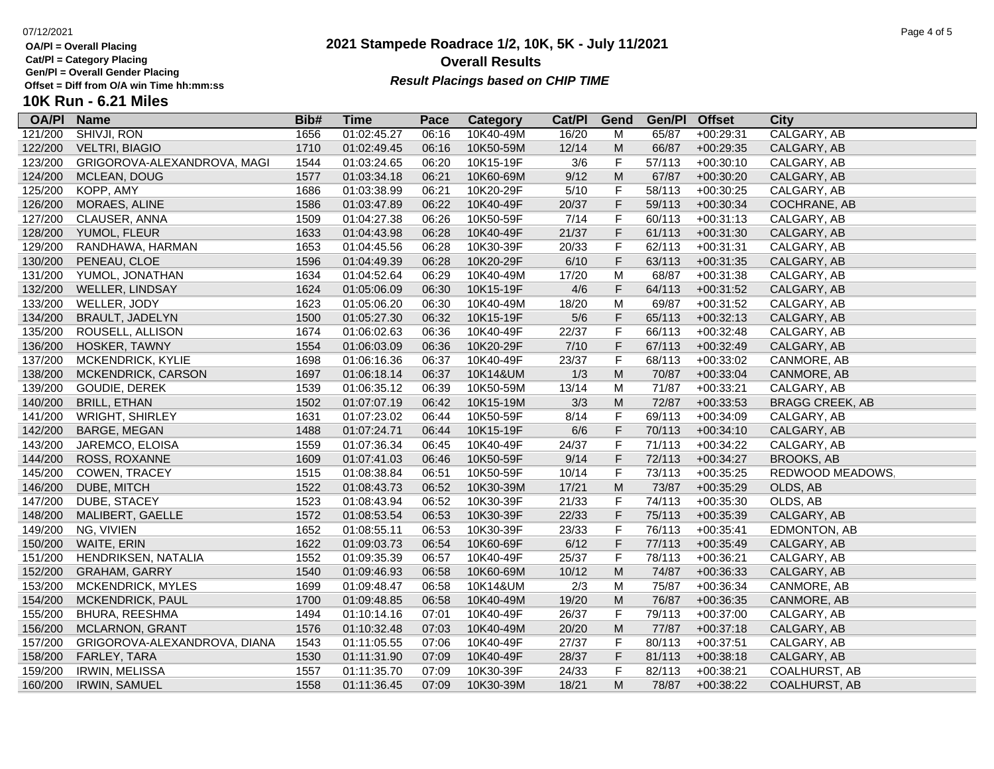**Cat/Pl = Category Placing**

**Gen/Pl = Overall Gender Placing**

### **2021 Stampede Roadrace 1/2, 10K, 5K - July 11/2021** 07/12/2021 Page 4 of 5 **Overall Results Result Placings based on CHIP TIME**

# **10K Run - 6.21 Miles**

| <b>OA/PI</b> | <b>Name</b>                  | Bib# | <b>Time</b> | Pace  | <b>Category</b> | Cat/PI | Gend                                                                                                       | Gen/Pl Offset |             | <b>City</b>            |
|--------------|------------------------------|------|-------------|-------|-----------------|--------|------------------------------------------------------------------------------------------------------------|---------------|-------------|------------------------|
| 121/200      | <b>SHIVJI, RON</b>           | 1656 | 01:02:45.27 | 06:16 | 10K40-49M       | 16/20  | M                                                                                                          | 65/87         | $+00:29:31$ | CALGARY, AB            |
| 122/200      | <b>VELTRI, BIAGIO</b>        | 1710 | 01:02:49.45 | 06:16 | 10K50-59M       | 12/14  | M                                                                                                          | 66/87         | $+00:29:35$ | CALGARY, AB            |
| 123/200      | GRIGOROVA-ALEXANDROVA, MAGI  | 1544 | 01:03:24.65 | 06:20 | 10K15-19F       | 3/6    | F                                                                                                          | 57/113        | $+00:30:10$ | CALGARY, AB            |
| 124/200      | MCLEAN, DOUG                 | 1577 | 01:03:34.18 | 06:21 | 10K60-69M       | 9/12   | $\mathsf{M}% _{T}=\mathsf{M}_{T}\!\left( a,b\right) ,\ \mathsf{M}_{T}=\mathsf{M}_{T}$                      | 67/87         | $+00:30:20$ | CALGARY, AB            |
| 125/200      | KOPP, AMY                    | 1686 | 01:03:38.99 | 06:21 | 10K20-29F       | 5/10   | F                                                                                                          | 58/113        | $+00:30:25$ | CALGARY, AB            |
| 126/200      | MORAES, ALINE                | 1586 | 01:03:47.89 | 06:22 | 10K40-49F       | 20/37  | F                                                                                                          | 59/113        | $+00:30:34$ | COCHRANE, AB           |
| 127/200      | CLAUSER, ANNA                | 1509 | 01:04:27.38 | 06:26 | 10K50-59F       | 7/14   | F                                                                                                          | 60/113        | $+00:31:13$ | CALGARY, AB            |
| 128/200      | YUMOL, FLEUR                 | 1633 | 01:04:43.98 | 06:28 | 10K40-49F       | 21/37  | F                                                                                                          | 61/113        | $+00:31:30$ | CALGARY, AB            |
| 129/200      | RANDHAWA, HARMAN             | 1653 | 01:04:45.56 | 06:28 | 10K30-39F       | 20/33  | F                                                                                                          | 62/113        | $+00:31:31$ | CALGARY, AB            |
| 130/200      | PENEAU, CLOE                 | 1596 | 01:04:49.39 | 06:28 | 10K20-29F       | 6/10   | F                                                                                                          | 63/113        | $+00:31:35$ | CALGARY, AB            |
| 131/200      | YUMOL, JONATHAN              | 1634 | 01:04:52.64 | 06:29 | 10K40-49M       | 17/20  | M                                                                                                          | 68/87         | $+00:31:38$ | CALGARY, AB            |
| 132/200      | WELLER, LINDSAY              | 1624 | 01:05:06.09 | 06:30 | 10K15-19F       | 4/6    | F                                                                                                          | 64/113        | $+00:31:52$ | CALGARY, AB            |
| 133/200      | WELLER, JODY                 | 1623 | 01:05:06.20 | 06:30 | 10K40-49M       | 18/20  | M                                                                                                          | 69/87         | $+00:31:52$ | CALGARY, AB            |
| 134/200      | BRAULT, JADELYN              | 1500 | 01:05:27.30 | 06:32 | 10K15-19F       | $5/6$  | F                                                                                                          | 65/113        | $+00:32:13$ | CALGARY, AB            |
| 135/200      | ROUSELL, ALLISON             | 1674 | 01:06:02.63 | 06:36 | 10K40-49F       | 22/37  | F                                                                                                          | 66/113        | $+00:32:48$ | CALGARY, AB            |
| 136/200      | HOSKER, TAWNY                | 1554 | 01:06:03.09 | 06:36 | 10K20-29F       | $7/10$ | F                                                                                                          | 67/113        | $+00:32:49$ | CALGARY, AB            |
| 137/200      | MCKENDRICK, KYLIE            | 1698 | 01:06:16.36 | 06:37 | 10K40-49F       | 23/37  | F                                                                                                          | 68/113        | $+00:33:02$ | CANMORE, AB            |
| 138/200      | MCKENDRICK, CARSON           | 1697 | 01:06:18.14 | 06:37 | 10K14&UM        | 1/3    | $\mathsf{M}% _{T}=\mathsf{M}_{T}\!\left( a,b\right) ,\ \mathsf{M}_{T}=\mathsf{M}_{T}\!\left( a,b\right) ,$ | 70/87         | $+00:33:04$ | CANMORE, AB            |
| 139/200      | GOUDIE, DEREK                | 1539 | 01:06:35.12 | 06:39 | 10K50-59M       | 13/14  | M                                                                                                          | 71/87         | $+00:33:21$ | CALGARY, AB            |
| 140/200      | <b>BRILL, ETHAN</b>          | 1502 | 01:07:07.19 | 06:42 | 10K15-19M       | 3/3    | $\mathsf{M}% _{T}=\mathsf{M}_{T}\!\left( a,b\right) ,\ \mathsf{M}_{T}=\mathsf{M}_{T}\!\left( a,b\right) ,$ | 72/87         | $+00:33:53$ | <b>BRAGG CREEK, AB</b> |
| 141/200      | <b>WRIGHT, SHIRLEY</b>       | 1631 | 01:07:23.02 | 06:44 | 10K50-59F       | 8/14   | F                                                                                                          | 69/113        | $+00:34:09$ | CALGARY, AB            |
| 142/200      | BARGE, MEGAN                 | 1488 | 01:07:24.71 | 06:44 | 10K15-19F       | 6/6    | F                                                                                                          | 70/113        | $+00:34:10$ | CALGARY, AB            |
| 143/200      | JAREMCO, ELOISA              | 1559 | 01:07:36.34 | 06:45 | 10K40-49F       | 24/37  | F                                                                                                          | 71/113        | $+00:34:22$ | CALGARY, AB            |
| 144/200      | ROSS, ROXANNE                | 1609 | 01:07:41.03 | 06:46 | 10K50-59F       | 9/14   | F                                                                                                          | 72/113        | $+00:34:27$ | <b>BROOKS, AB</b>      |
| 145/200      | COWEN, TRACEY                | 1515 | 01:08:38.84 | 06:51 | 10K50-59F       | 10/14  | F                                                                                                          | 73/113        | $+00:35:25$ | REDWOOD MEADOWS        |
| 146/200      | DUBE, MITCH                  | 1522 | 01:08:43.73 | 06:52 | 10K30-39M       | 17/21  | M                                                                                                          | 73/87         | $+00:35:29$ | OLDS, AB               |
| 147/200      | DUBE, STACEY                 | 1523 | 01:08:43.94 | 06:52 | 10K30-39F       | 21/33  | F                                                                                                          | 74/113        | $+00:35:30$ | OLDS, AB               |
| 148/200      | MALIBERT, GAELLE             | 1572 | 01:08:53.54 | 06:53 | 10K30-39F       | 22/33  | F                                                                                                          | 75/113        | $+00:35:39$ | CALGARY, AB            |
| 149/200      | NG, VIVIEN                   | 1652 | 01:08:55.11 | 06:53 | 10K30-39F       | 23/33  | F                                                                                                          | 76/113        | $+00:35:41$ | EDMONTON, AB           |
| 150/200      | WAITE, ERIN                  | 1622 | 01:09:03.73 | 06:54 | 10K60-69F       | 6/12   | F                                                                                                          | 77/113        | $+00:35:49$ | CALGARY, AB            |
| 151/200      | HENDRIKSEN, NATALIA          | 1552 | 01:09:35.39 | 06:57 | 10K40-49F       | 25/37  | F                                                                                                          | 78/113        | $+00:36:21$ | CALGARY, AB            |
| 152/200      | <b>GRAHAM, GARRY</b>         | 1540 | 01:09:46.93 | 06:58 | 10K60-69M       | 10/12  | ${\sf M}$                                                                                                  | 74/87         | $+00:36:33$ | CALGARY, AB            |
| 153/200      | MCKENDRICK, MYLES            | 1699 | 01:09:48.47 | 06:58 | 10K14&UM        | 2/3    | M                                                                                                          | 75/87         | $+00:36:34$ | CANMORE, AB            |
| 154/200      | MCKENDRICK, PAUL             | 1700 | 01:09:48.85 | 06:58 | 10K40-49M       | 19/20  | ${\sf M}$                                                                                                  | 76/87         | $+00:36:35$ | CANMORE, AB            |
| 155/200      | BHURA, REESHMA               | 1494 | 01:10:14.16 | 07:01 | 10K40-49F       | 26/37  | F                                                                                                          | 79/113        | $+00:37:00$ | CALGARY, AB            |
| 156/200      | <b>MCLARNON, GRANT</b>       | 1576 | 01:10:32.48 | 07:03 | 10K40-49M       | 20/20  | ${\sf M}$                                                                                                  | 77/87         | $+00:37:18$ | CALGARY, AB            |
| 157/200      | GRIGOROVA-ALEXANDROVA, DIANA | 1543 | 01:11:05.55 | 07:06 | 10K40-49F       | 27/37  | F                                                                                                          | 80/113        | $+00:37:51$ | CALGARY, AB            |
| 158/200      | FARLEY, TARA                 | 1530 | 01:11:31.90 | 07:09 | 10K40-49F       | 28/37  | F                                                                                                          | 81/113        | $+00:38:18$ | CALGARY, AB            |
| 159/200      | <b>IRWIN, MELISSA</b>        | 1557 | 01:11:35.70 | 07:09 | 10K30-39F       | 24/33  | F                                                                                                          | 82/113        | $+00:38:21$ | <b>COALHURST, AB</b>   |
| 160/200      | <b>IRWIN, SAMUEL</b>         | 1558 | 01:11:36.45 | 07:09 | 10K30-39M       | 18/21  | M                                                                                                          | 78/87         | $+00:38:22$ | <b>COALHURST, AB</b>   |
|              |                              |      |             |       |                 |        |                                                                                                            |               |             |                        |